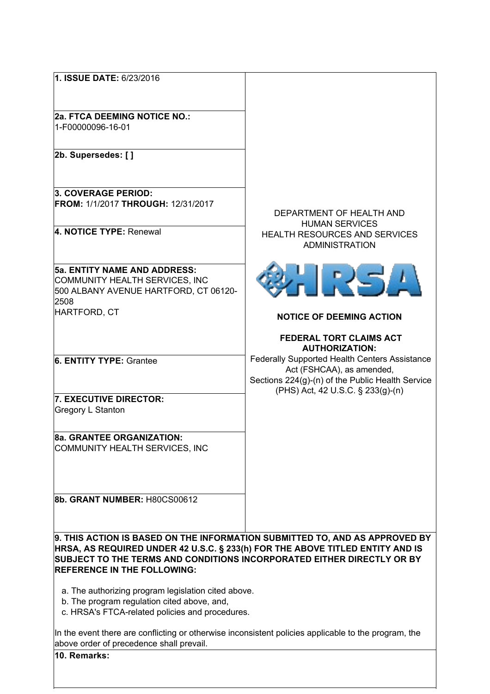| 1. ISSUE DATE: 6/23/2016                                                                                     |                                                                                       |  |
|--------------------------------------------------------------------------------------------------------------|---------------------------------------------------------------------------------------|--|
|                                                                                                              |                                                                                       |  |
| <b>2a. FTCA DEEMING NOTICE NO.:</b>                                                                          |                                                                                       |  |
| 1-F00000096-16-01                                                                                            |                                                                                       |  |
| 2b. Supersedes: []                                                                                           |                                                                                       |  |
|                                                                                                              |                                                                                       |  |
| 3. COVERAGE PERIOD:                                                                                          |                                                                                       |  |
| <b>FROM: 1/1/2017 THROUGH: 12/31/2017</b>                                                                    | DEPARTMENT OF HEALTH AND                                                              |  |
|                                                                                                              | <b>HUMAN SERVICES</b>                                                                 |  |
| 4. NOTICE TYPE: Renewal                                                                                      | <b>HEALTH RESOURCES AND SERVICES</b><br><b>ADMINISTRATION</b>                         |  |
| <b>5a. ENTITY NAME AND ADDRESS:</b>                                                                          |                                                                                       |  |
| COMMUNITY HEALTH SERVICES, INC                                                                               | IRSA                                                                                  |  |
| 500 ALBANY AVENUE HARTFORD, CT 06120-                                                                        |                                                                                       |  |
| 2508<br>HARTFORD, CT                                                                                         |                                                                                       |  |
|                                                                                                              | <b>NOTICE OF DEEMING ACTION</b>                                                       |  |
|                                                                                                              | <b>FEDERAL TORT CLAIMS ACT</b>                                                        |  |
|                                                                                                              | <b>AUTHORIZATION:</b>                                                                 |  |
| <b>6. ENTITY TYPE: Grantee</b>                                                                               | Federally Supported Health Centers Assistance<br>Act (FSHCAA), as amended,            |  |
|                                                                                                              | Sections 224(g)-(n) of the Public Health Service<br>(PHS) Act, 42 U.S.C. § 233(g)-(n) |  |
| 7. EXECUTIVE DIRECTOR:                                                                                       |                                                                                       |  |
| <b>Gregory L Stanton</b>                                                                                     |                                                                                       |  |
| 8a. GRANTEE ORGANIZATION:                                                                                    |                                                                                       |  |
| COMMUNITY HEALTH SERVICES, INC                                                                               |                                                                                       |  |
|                                                                                                              |                                                                                       |  |
|                                                                                                              |                                                                                       |  |
|                                                                                                              |                                                                                       |  |
| 8b. GRANT NUMBER: H80CS00612                                                                                 |                                                                                       |  |
|                                                                                                              |                                                                                       |  |
| 9. THIS ACTION IS BASED ON THE INFORMATION SUBMITTED TO, AND AS APPROVED BY                                  |                                                                                       |  |
| HRSA, AS REQUIRED UNDER 42 U.S.C. § 233(h) FOR THE ABOVE TITLED ENTITY AND IS                                |                                                                                       |  |
| SUBJECT TO THE TERMS AND CONDITIONS INCORPORATED EITHER DIRECTLY OR BY<br><b>REFERENCE IN THE FOLLOWING:</b> |                                                                                       |  |
|                                                                                                              |                                                                                       |  |
| a. The authorizing program legislation cited above.                                                          |                                                                                       |  |
| b. The program regulation cited above, and,<br>c. HRSA's FTCA-related policies and procedures.               |                                                                                       |  |
|                                                                                                              |                                                                                       |  |
| In the event there are conflicting or otherwise inconsistent policies applicable to the program, the         |                                                                                       |  |
| above order of precedence shall prevail.<br>10. Remarks:                                                     |                                                                                       |  |
|                                                                                                              |                                                                                       |  |